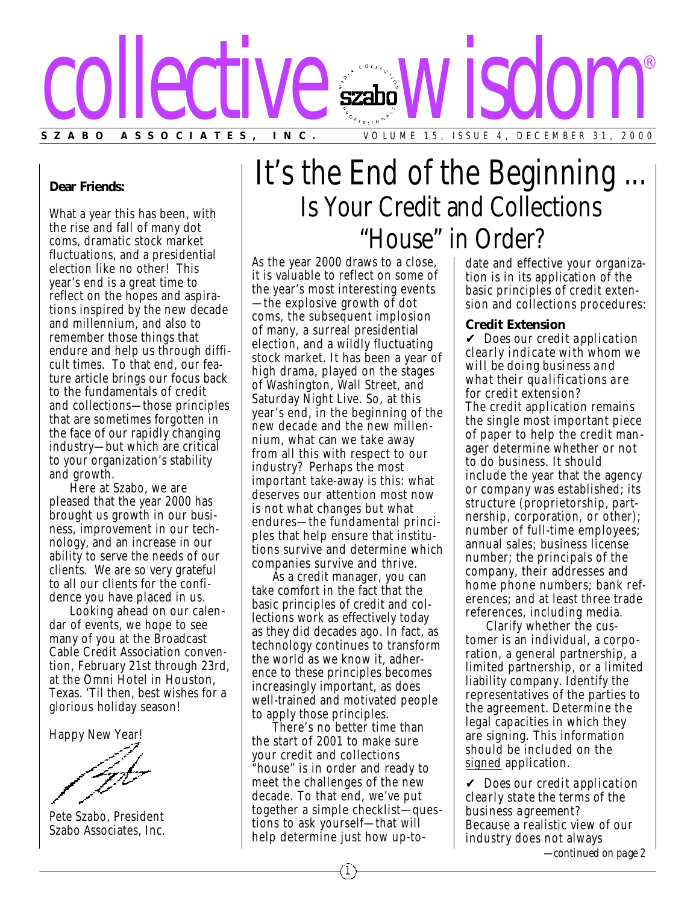

### **Dear Friends:**

What a year this has been, with the rise and fall of many dot coms, dramatic stock market fluctuations, and a presidential election like no other! This year's end is a great time to reflect on the hopes and aspirations inspired by the new decade and millennium, and also to remember those things that endure and help us through difficult times. To that end, our feature article brings our focus back to the fundamentals of credit and collections—those principles that are sometimes forgotten in the face of our rapidly changing industry—but which are critical to your organization's stability and growth.

Here at Szabo, we are pleased that the year 2000 has brought us growth in our business, improvement in our technology, and an increase in our ability to serve the needs of our clients. We are so very grateful to all our clients for the confidence you have placed in us.

Looking ahead on our calendar of events, we hope to see many of you at the Broadcast Cable Credit Association convention, February 21st through 23rd, at the Omni Hotel in Houston, Texas. 'Til then, best wishes for a glorious holiday season!

Happy New Year!

Pete Szabo, President Szabo Associates, Inc.

# It's the End of the Beginning ... Is Your Credit and Collections "House" in Order?

As the year 2000 draws to a close, it is valuable to reflect on some of the year's most interesting events —the explosive growth of dot coms, the subsequent implosion of many, a surreal presidential election, and a wildly fluctuating stock market. It has been a year of high drama, played on the stages of Washington, Wall Street, and Saturday Night Live. So, at this year's end, in the beginning of the new decade and the new millennium, what can we take away from all this with respect to our industry? Perhaps the most important take-away is this: what deserves our attention most now is not what changes but what endures—the fundamental principles that help ensure that institutions survive and determine which companies survive and thrive.

As a credit manager, you can take comfort in the fact that the basic principles of credit and collections work as effectively today as they did decades ago. In fact, as technology continues to transform the world as we know it, adherence to these principles becomes increasingly important, as does well-trained and motivated people to apply those principles.

There's no better time than the start of 2001 to make sure your credit and collections "house" is in order and ready to meet the challenges of the new decade. To that end, we've put together a simple checklist—ques tions to ask yourself—that will help determine just how up-todate and effective your organization is in its application of the basic principles of credit extension and collections procedures:

#### **Credit Extension**

✔ *Does our credit application clearly indicate with whom we will be doing business and what their qualifications are for credit extension?* The credit application remains the single most important piece of paper to help the credit manager determine whether or not to do business. It should include the year that the agency or company was established; its structure (proprietorship, partnership, corporation, or other); number of full-time employees; annual sales; business license number; the principals of the company, their addresses and home phone numbers; bank references; and at least three trade references, including media.

Clarify whether the customer is an individual, a corporation, a general partnership, a limited partnership, or a limited liability company. Identify the representatives of the parties to the agreement. Determine the legal capacities in which they are signing. This information should be included on the signed application.

✔ *Does our credit application clearly state the terms of the business agreement?* Because a realistic view of our industry does not always

*—continued on page 2*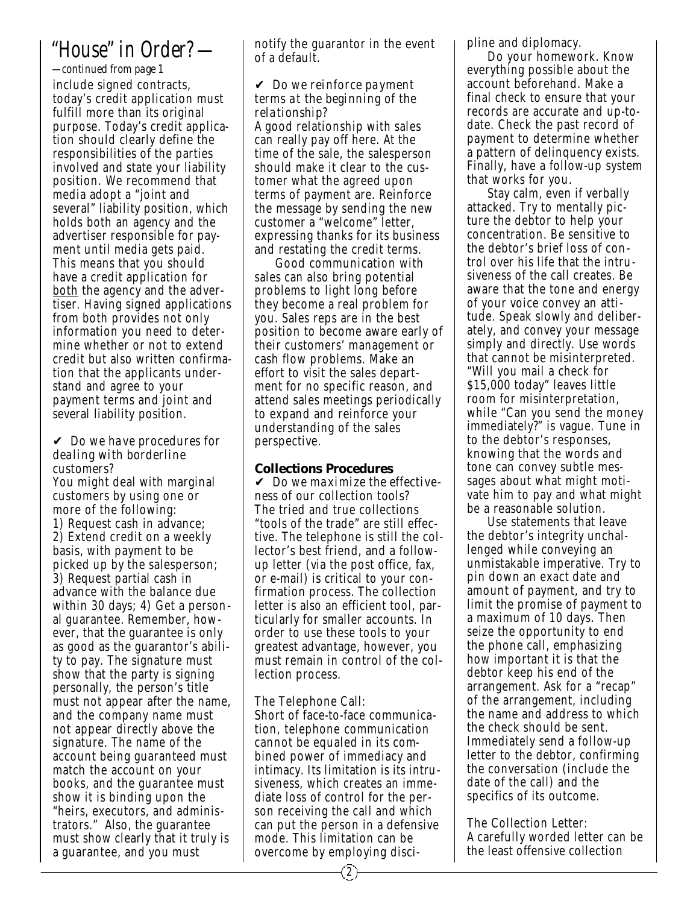## *"House" in Order? —*

include signed contracts, today's credit application must fulfill more than its original purpose. Today's credit application should clearly define the responsibilities of the parties involved and state your liability position. We recommend that media adopt a "joint and several" liability position, which holds both an agency and the advertiser responsible for payment until media gets paid. This means that you should have a credit application for both the agency and the advertiser. Having signed applications from both provides not only information you need to determine whether or not to extend credit but also written confirmation that the applicants understand and agree to your payment terms and joint and several liability position. *—continued from page 1*

✔ *Do we have procedures for dealing with borderline customers?*

You might deal with marginal customers by using one or more of the following: 1) Request cash in advance; 2) Extend credit on a weekly basis, with payment to be picked up by the salesperson; 3) Request partial cash in advance with the balance due within 30 days; 4) Get a personal guarantee. Remember, however, that the guarantee is only as good as the guarantor's ability to pay. The signature must show that the party is signing personally, the person's title must not appear after the name, and the company name must not appear directly above the signature. The name of the account being guaranteed must match the account on your books, and the guarantee must show it is binding upon the "heirs, executors, and adminis trators." Also, the guarantee must show clearly that it truly is a guarantee, and you must

notify the guarantor in the event of a default.

✔ *Do we reinforce payment terms at the beginning of the relationship?* A good relationship with sales can really pay off here. At the time of the sale, the salesperson should make it clear to the customer what the agreed upon terms of payment are. Reinforce the message by sending the new customer a "welcome" letter, expressing thanks for its business and restating the credit terms.

Good communication with sales can also bring potential problems to light long before they become a real problem for you. Sales reps are in the best position to become aware early of their customers' management or cash flow problems. Make an effort to visit the sales department for no specific reason, and attend sales meetings periodically to expand and reinforce your understanding of the sales perspective.

### **Collections Procedures**

✔ *Do we maximize the effective ness of our collection tools?* The tried and true collections "tools of the trade" are still effective. The telephone is still the collector's best friend, and a followup letter (via the post office, fax, or e-mail) is critical to your confirmation process. The collection letter is also an efficient tool, particularly for smaller accounts. In order to use these tools to your greatest advantage, however, you must remain in control of the collection process.

The Telephone Call: Short of face-to-face communication, telephone communication cannot be equaled in its combined power of immediacy and intimacy. Its limitation is its intrusiveness, which creates an immediate loss of control for the person receiving the call and which can put the person in a defensive mode. This limitation can be overcome by employing disci-

2

pline and diplomacy.

Do your homework. Know everything possible about the account beforehand. Make a final check to ensure that your records are accurate and up-todate. Check the past record of payment to determine whether a pattern of delinquency exists. Finally, have a follow-up system that works for you.

Stay calm, even if verbally attacked. Try to mentally picture the debtor to help your concentration. Be sensitive to the debtor's brief loss of control over his life that the intrusiveness of the call creates. Be aware that the tone and energy of your voice convey an attitude. Speak slowly and deliberately, and convey your message simply and directly. Use words that cannot be misinterpreted. "Will you mail a check for \$15,000 today" leaves little room for misinterpretation, while "Can you send the money immediately?" is vague. Tune in to the debtor's responses, knowing that the words and tone can convey subtle messages about what might motivate him to pay and what might be a reasonable solution.

Use statements that leave the debtor's integrity unchallenged while conveying an unmistakable imperative. Try to pin down an exact date and amount of payment, and try to limit the promise of payment to a maximum of 10 days. Then seize the opportunity to end the phone call, emphasizing how important it is that the debtor keep his end of the arrangement. Ask for a "recap" of the arrangement, including the name and address to which the check should be sent. Immediately send a follow-up letter to the debtor, confirming the conversation (include the date of the call) and the specifics of its outcome.

The Collection Letter: A carefully worded letter can be the least offensive collection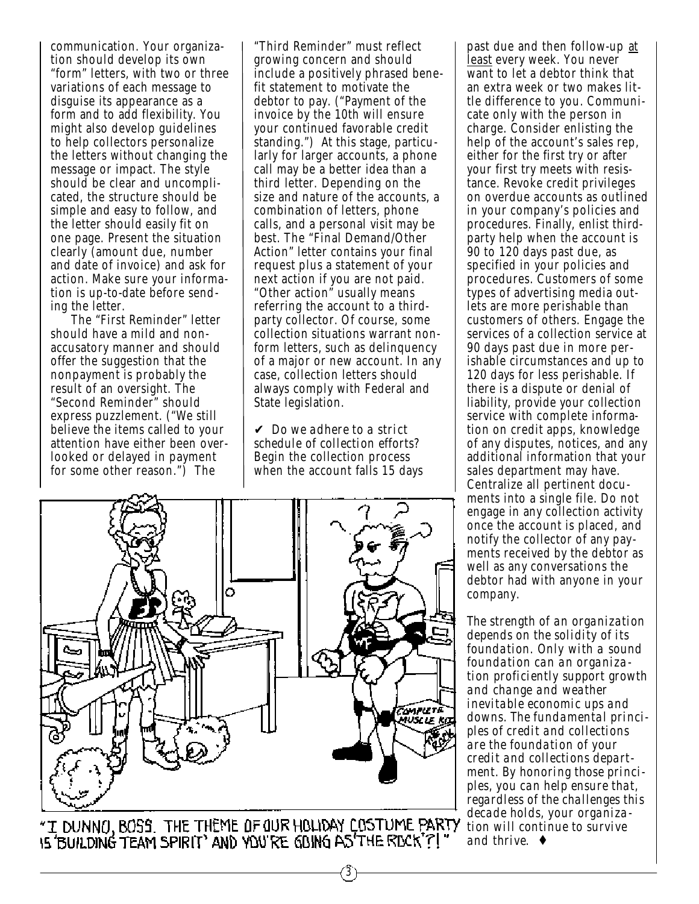communication. Your organization should develop its own "form" letters, with two or three variations of each message to disguise its appearance as a form and to add flexibility. You might also develop guidelines to help collectors personalize the letters without changing the message or impact. The style should be clear and uncomplicated, the structure should be simple and easy to follow, and the letter should easily fit on one page. Present the situation clearly (amount due, number and date of invoice) and ask for action. Make sure your information is up-to-date before sending the letter.

The "First Reminder" letter should have a mild and nonaccusatory manner and should offer the suggestion that the nonpayment is probably the result of an oversight. The "Second Reminder" should express puzzlement. ("We still believe the items called to your attention have either been overlooked or delayed in payment for some other reason.") The

"Third Reminder" must reflect growing concern and should include a positively phrased benefit statement to motivate the debtor to pay. ("Payment of the invoice by the 10th will ensure your continued favorable credit standing.") At this stage, particularly for larger accounts, a phone call may be a better idea than a third letter. Depending on the size and nature of the accounts, a combination of letters, phone calls, and a personal visit may be best. The "Final Demand/Other Action" letter contains your final request plus a statement of your next action if you are not paid. "Other action" usually means referring the account to a thirdparty collector. Of course, some collection situations warrant nonform letters*,* such as delinquency of a major or new account. In any case, collection letters should always comply with Federal and State legislation.

✔ *Do we adhere to a strict schedule of collection efforts?* Begin the collection process when the account falls 15 days

3



"I DUNNO, BOSS. THE THEME OF OUR HOLIDAY COSTUME PARTY

past due and then follow-up at least every week. You never want to let a debtor think that an extra week or two makes little difference to you. Communicate only with the person in charge. Consider enlisting the help of the account's sales rep, either for the first try or after your first try meets with resistance. Revoke credit privileges on overdue accounts as outlined in your company's policies and procedures. Finally, enlist thirdparty help when the account is 90 to 120 days past due, as specified in your policies and procedures. Customers of some types of advertising media outlets are more perishable than customers of others. Engage the services of a collection service at 90 days past due in more perishable circumstances and up to 120 days for less perishable. If there is a dispute or denial of liability, provide your collection service with complete information on credit apps, knowledge of any disputes, notices, and any additional information that your sales department may have. Centralize all pertinent documents into a single file. Do not engage in any collection activity once the account is placed, and notify the collector of any pay ments received by the debtor as well as any conversations the debtor had with anyone in your company.

*The strength of an organization depends on the solidity of its foundation. Only with a sound foundation can an organization proficiently support growth and change and weather inevitable economic ups and downs. The fundamental principles of credit and collections are the foundation of your credit and collections department. By honoring those principles, you can help ensure that, regardless of the challenges this decade holds, your organization will continue to survive and thrive*. ♦